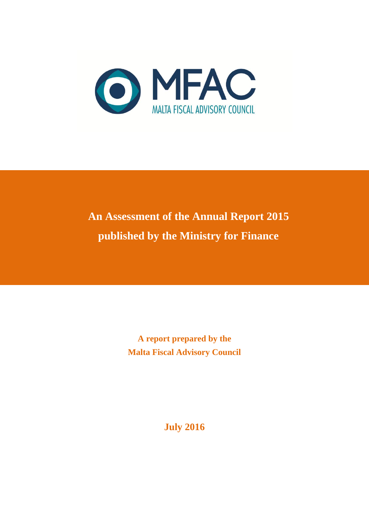

# **An Assessment of the Annual Report 2015 published by the Ministry for Finance**

**A report prepared by the Malta Fiscal Advisory Council**

**July 2016**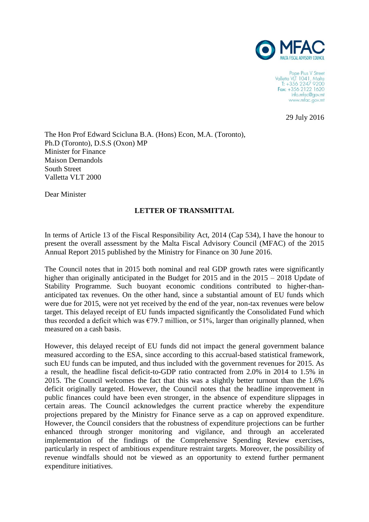

Pope Pius V Street Valletta VLT 1041, Malta<br>T: +356 2247 9200 Fax: +356 2122 1620 info.mfac@gov.mt www.mfac.gov.mt

29 July 2016

The Hon Prof Edward Scicluna B.A. (Hons) Econ, M.A. (Toronto), Ph.D (Toronto), D.S.S (Oxon) MP Minister for Finance Maison Demandols South Street Valletta VLT 2000

Dear Minister

# **LETTER OF TRANSMITTAL**

In terms of Article 13 of the Fiscal Responsibility Act, 2014 (Cap 534), I have the honour to present the overall assessment by the Malta Fiscal Advisory Council (MFAC) of the 2015 Annual Report 2015 published by the Ministry for Finance on 30 June 2016.

The Council notes that in 2015 both nominal and real GDP growth rates were significantly higher than originally anticipated in the Budget for 2015 and in the 2015 – 2018 Update of Stability Programme. Such buoyant economic conditions contributed to higher-thananticipated tax revenues. On the other hand, since a substantial amount of EU funds which were due for 2015, were not yet received by the end of the year, non-tax revenues were below target. This delayed receipt of EU funds impacted significantly the Consolidated Fund which thus recorded a deficit which was  $\epsilon$ 79.7 million, or 51%, larger than originally planned, when measured on a cash basis.

However, this delayed receipt of EU funds did not impact the general government balance measured according to the ESA, since according to this accrual-based statistical framework, such EU funds can be imputed, and thus included with the government revenues for 2015. As a result, the headline fiscal deficit-to-GDP ratio contracted from 2.0% in 2014 to 1.5% in 2015. The Council welcomes the fact that this was a slightly better turnout than the 1.6% deficit originally targeted. However, the Council notes that the headline improvement in public finances could have been even stronger, in the absence of expenditure slippages in certain areas. The Council acknowledges the current practice whereby the expenditure projections prepared by the Ministry for Finance serve as a cap on approved expenditure. However, the Council considers that the robustness of expenditure projections can be further enhanced through stronger monitoring and vigilance, and through an accelerated implementation of the findings of the Comprehensive Spending Review exercises, particularly in respect of ambitious expenditure restraint targets. Moreover, the possibility of revenue windfalls should not be viewed as an opportunity to extend further permanent expenditure initiatives.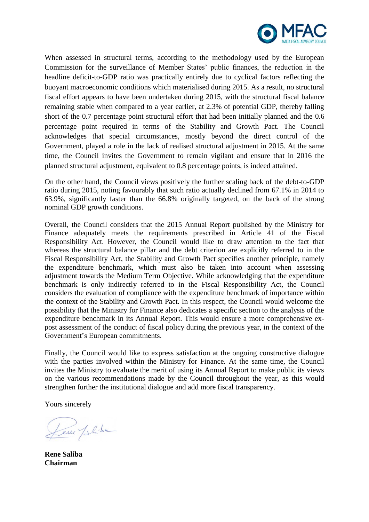

When assessed in structural terms, according to the methodology used by the European Commission for the surveillance of Member States' public finances, the reduction in the headline deficit-to-GDP ratio was practically entirely due to cyclical factors reflecting the buoyant macroeconomic conditions which materialised during 2015. As a result, no structural fiscal effort appears to have been undertaken during 2015, with the structural fiscal balance remaining stable when compared to a year earlier, at 2.3% of potential GDP, thereby falling short of the 0.7 percentage point structural effort that had been initially planned and the 0.6 percentage point required in terms of the Stability and Growth Pact. The Council acknowledges that special circumstances, mostly beyond the direct control of the Government, played a role in the lack of realised structural adjustment in 2015. At the same time, the Council invites the Government to remain vigilant and ensure that in 2016 the planned structural adjustment, equivalent to 0.8 percentage points, is indeed attained.

On the other hand, the Council views positively the further scaling back of the debt-to-GDP ratio during 2015, noting favourably that such ratio actually declined from 67.1% in 2014 to 63.9%, significantly faster than the 66.8% originally targeted, on the back of the strong nominal GDP growth conditions.

Overall, the Council considers that the 2015 Annual Report published by the Ministry for Finance adequately meets the requirements prescribed in Article 41 of the Fiscal Responsibility Act. However, the Council would like to draw attention to the fact that whereas the structural balance pillar and the debt criterion are explicitly referred to in the Fiscal Responsibility Act, the Stability and Growth Pact specifies another principle, namely the expenditure benchmark, which must also be taken into account when assessing adjustment towards the Medium Term Objective. While acknowledging that the expenditure benchmark is only indirectly referred to in the Fiscal Responsibility Act, the Council considers the evaluation of compliance with the expenditure benchmark of importance within the context of the Stability and Growth Pact. In this respect, the Council would welcome the possibility that the Ministry for Finance also dedicates a specific section to the analysis of the expenditure benchmark in its Annual Report. This would ensure a more comprehensive expost assessment of the conduct of fiscal policy during the previous year, in the context of the Government's European commitments.

Finally, the Council would like to express satisfaction at the ongoing constructive dialogue with the parties involved within the Ministry for Finance. At the same time, the Council invites the Ministry to evaluate the merit of using its Annual Report to make public its views on the various recommendations made by the Council throughout the year, as this would strengthen further the institutional dialogue and add more fiscal transparency.

Yours sincerely

Leur plike

**Rene Saliba Chairman**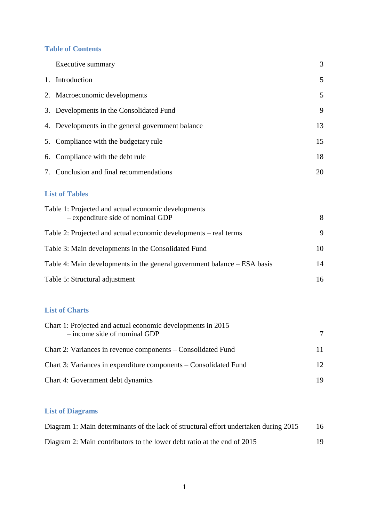# **Table of Contents**

| Executive summary                                                                        | 3  |
|------------------------------------------------------------------------------------------|----|
| 1. Introduction                                                                          | 5  |
| 2. Macroeconomic developments                                                            | 5  |
| 3. Developments in the Consolidated Fund                                                 | 9  |
| 4. Developments in the general government balance                                        | 13 |
| 5. Compliance with the budgetary rule                                                    | 15 |
| 6. Compliance with the debt rule                                                         | 18 |
| 7. Conclusion and final recommendations                                                  | 20 |
| <b>List of Tables</b>                                                                    |    |
| Table 1: Projected and actual economic developments<br>- expenditure side of nominal GDP | 8  |
| Table 2: Projected and actual economic developments – real terms                         | 9  |
| Table 3: Main developments in the Consolidated Fund                                      | 10 |
| Table 4: Main developments in the general government balance – ESA basis                 | 14 |
| Table 5: Structural adjustment                                                           | 16 |
|                                                                                          |    |

# **List of Charts**

| Chart 1: Projected and actual economic developments in 2015      |    |
|------------------------------------------------------------------|----|
| $-$ income side of nominal GDP                                   | 7  |
| Chart 2: Variances in revenue components – Consolidated Fund     | 11 |
| Chart 3: Variances in expenditure components – Consolidated Fund | 12 |
| Chart 4: Government debt dynamics                                | 19 |

# **List of Diagrams**

| Diagram 1: Main determinants of the lack of structural effort undertaken during 2015 | 16 |
|--------------------------------------------------------------------------------------|----|
| Diagram 2: Main contributors to the lower debt ratio at the end of 2015              | 19 |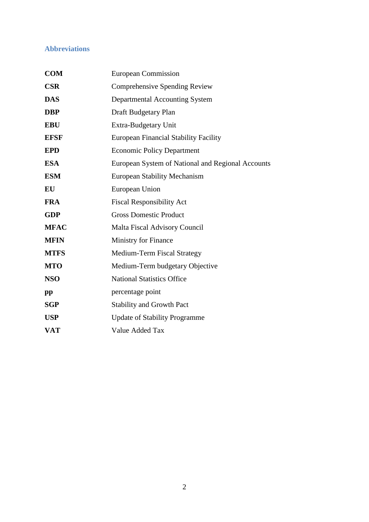# **Abbreviations**

| <b>COM</b>  | <b>European Commission</b>                        |
|-------------|---------------------------------------------------|
| <b>CSR</b>  | Comprehensive Spending Review                     |
| <b>DAS</b>  | Departmental Accounting System                    |
| <b>DBP</b>  | Draft Budgetary Plan                              |
| <b>EBU</b>  | Extra-Budgetary Unit                              |
| <b>EFSF</b> | <b>European Financial Stability Facility</b>      |
| <b>EPD</b>  | <b>Economic Policy Department</b>                 |
| <b>ESA</b>  | European System of National and Regional Accounts |
| <b>ESM</b>  | <b>European Stability Mechanism</b>               |
| EU          | European Union                                    |
| <b>FRA</b>  | <b>Fiscal Responsibility Act</b>                  |
| <b>GDP</b>  | <b>Gross Domestic Product</b>                     |
| <b>MFAC</b> | <b>Malta Fiscal Advisory Council</b>              |
| <b>MFIN</b> | Ministry for Finance                              |
| <b>MTFS</b> | Medium-Term Fiscal Strategy                       |
| <b>MTO</b>  | Medium-Term budgetary Objective                   |
| <b>NSO</b>  | <b>National Statistics Office</b>                 |
| pp          | percentage point                                  |
| <b>SGP</b>  | <b>Stability and Growth Pact</b>                  |
| <b>USP</b>  | <b>Update of Stability Programme</b>              |
| <b>VAT</b>  | Value Added Tax                                   |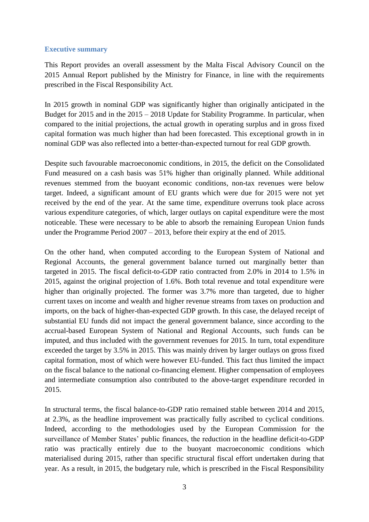# **Executive summary**

This Report provides an overall assessment by the Malta Fiscal Advisory Council on the 2015 Annual Report published by the Ministry for Finance, in line with the requirements prescribed in the Fiscal Responsibility Act.

In 2015 growth in nominal GDP was significantly higher than originally anticipated in the Budget for 2015 and in the 2015 – 2018 Update for Stability Programme. In particular, when compared to the initial projections, the actual growth in operating surplus and in gross fixed capital formation was much higher than had been forecasted. This exceptional growth in in nominal GDP was also reflected into a better-than-expected turnout for real GDP growth.

Despite such favourable macroeconomic conditions, in 2015, the deficit on the Consolidated Fund measured on a cash basis was 51% higher than originally planned. While additional revenues stemmed from the buoyant economic conditions, non-tax revenues were below target. Indeed, a significant amount of EU grants which were due for 2015 were not yet received by the end of the year. At the same time, expenditure overruns took place across various expenditure categories, of which, larger outlays on capital expenditure were the most noticeable. These were necessary to be able to absorb the remaining European Union funds under the Programme Period 2007 – 2013, before their expiry at the end of 2015.

On the other hand, when computed according to the European System of National and Regional Accounts, the general government balance turned out marginally better than targeted in 2015. The fiscal deficit-to-GDP ratio contracted from 2.0% in 2014 to 1.5% in 2015, against the original projection of 1.6%. Both total revenue and total expenditure were higher than originally projected. The former was 3.7% more than targeted, due to higher current taxes on income and wealth and higher revenue streams from taxes on production and imports, on the back of higher-than-expected GDP growth. In this case, the delayed receipt of substantial EU funds did not impact the general government balance, since according to the accrual-based European System of National and Regional Accounts, such funds can be imputed, and thus included with the government revenues for 2015. In turn, total expenditure exceeded the target by 3.5% in 2015. This was mainly driven by larger outlays on gross fixed capital formation, most of which were however EU-funded. This fact thus limited the impact on the fiscal balance to the national co-financing element. Higher compensation of employees and intermediate consumption also contributed to the above-target expenditure recorded in 2015.

In structural terms, the fiscal balance-to-GDP ratio remained stable between 2014 and 2015, at 2.3%, as the headline improvement was practically fully ascribed to cyclical conditions. Indeed, according to the methodologies used by the European Commission for the surveillance of Member States' public finances, the reduction in the headline deficit-to-GDP ratio was practically entirely due to the buoyant macroeconomic conditions which materialised during 2015, rather than specific structural fiscal effort undertaken during that year. As a result, in 2015, the budgetary rule, which is prescribed in the Fiscal Responsibility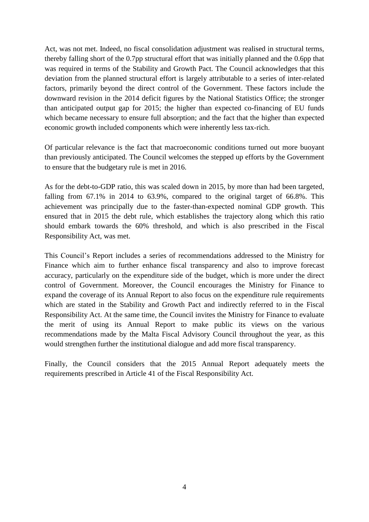Act, was not met. Indeed, no fiscal consolidation adjustment was realised in structural terms, thereby falling short of the 0.7pp structural effort that was initially planned and the 0.6pp that was required in terms of the Stability and Growth Pact. The Council acknowledges that this deviation from the planned structural effort is largely attributable to a series of inter-related factors, primarily beyond the direct control of the Government. These factors include the downward revision in the 2014 deficit figures by the National Statistics Office; the stronger than anticipated output gap for 2015; the higher than expected co-financing of EU funds which became necessary to ensure full absorption; and the fact that the higher than expected economic growth included components which were inherently less tax-rich.

Of particular relevance is the fact that macroeconomic conditions turned out more buoyant than previously anticipated. The Council welcomes the stepped up efforts by the Government to ensure that the budgetary rule is met in 2016.

As for the debt-to-GDP ratio, this was scaled down in 2015, by more than had been targeted, falling from 67.1% in 2014 to 63.9%, compared to the original target of 66.8%. This achievement was principally due to the faster-than-expected nominal GDP growth. This ensured that in 2015 the debt rule, which establishes the trajectory along which this ratio should embark towards the 60% threshold, and which is also prescribed in the Fiscal Responsibility Act, was met.

This Council's Report includes a series of recommendations addressed to the Ministry for Finance which aim to further enhance fiscal transparency and also to improve forecast accuracy, particularly on the expenditure side of the budget, which is more under the direct control of Government. Moreover, the Council encourages the Ministry for Finance to expand the coverage of its Annual Report to also focus on the expenditure rule requirements which are stated in the Stability and Growth Pact and indirectly referred to in the Fiscal Responsibility Act. At the same time, the Council invites the Ministry for Finance to evaluate the merit of using its Annual Report to make public its views on the various recommendations made by the Malta Fiscal Advisory Council throughout the year, as this would strengthen further the institutional dialogue and add more fiscal transparency.

Finally, the Council considers that the 2015 Annual Report adequately meets the requirements prescribed in Article 41 of the Fiscal Responsibility Act.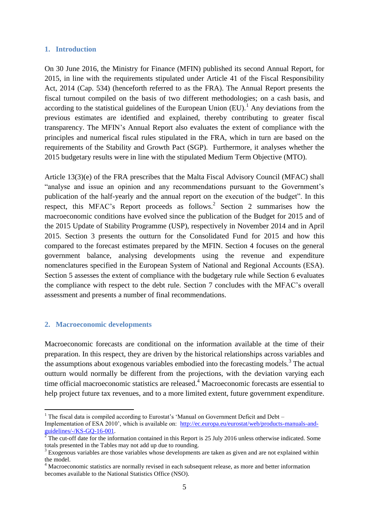#### **1. Introduction**

On 30 June 2016, the Ministry for Finance (MFIN) published its second Annual Report, for 2015, in line with the requirements stipulated under Article 41 of the Fiscal Responsibility Act, 2014 (Cap. 534) (henceforth referred to as the FRA). The Annual Report presents the fiscal turnout compiled on the basis of two different methodologies; on a cash basis, and according to the statistical guidelines of the European Union  $(EU)$ .<sup>1</sup> Any deviations from the previous estimates are identified and explained, thereby contributing to greater fiscal transparency. The MFIN's Annual Report also evaluates the extent of compliance with the principles and numerical fiscal rules stipulated in the FRA, which in turn are based on the requirements of the Stability and Growth Pact (SGP). Furthermore, it analyses whether the 2015 budgetary results were in line with the stipulated Medium Term Objective (MTO).

Article 13(3)(e) of the FRA prescribes that the Malta Fiscal Advisory Council (MFAC) shall "analyse and issue an opinion and any recommendations pursuant to the Government's publication of the half-yearly and the annual report on the execution of the budget". In this respect, this MFAC's Report proceeds as follows.<sup>2</sup> Section 2 summarises how the macroeconomic conditions have evolved since the publication of the Budget for 2015 and of the 2015 Update of Stability Programme (USP), respectively in November 2014 and in April 2015. Section 3 presents the outturn for the Consolidated Fund for 2015 and how this compared to the forecast estimates prepared by the MFIN. Section 4 focuses on the general government balance, analysing developments using the revenue and expenditure nomenclatures specified in the European System of National and Regional Accounts (ESA). Section 5 assesses the extent of compliance with the budgetary rule while Section 6 evaluates the compliance with respect to the debt rule. Section 7 concludes with the MFAC's overall assessment and presents a number of final recommendations.

#### **2. Macroeconomic developments**

<u>.</u>

Macroeconomic forecasts are conditional on the information available at the time of their preparation. In this respect, they are driven by the historical relationships across variables and the assumptions about exogenous variables embodied into the forecasting models.<sup>3</sup> The actual outturn would normally be different from the projections, with the deviation varying each time official macroeconomic statistics are released. <sup>4</sup> Macroeconomic forecasts are essential to help project future tax revenues, and to a more limited extent, future government expenditure.

 $1$  The fiscal data is compiled according to Eurostat's 'Manual on Government Deficit and Debt – Implementation of ESA 2010', which is available on: [http://ec.europa.eu/eurostat/web/products-manuals-and](http://ec.europa.eu/eurostat/web/products-manuals-and-guidelines/-/KS-GQ-16-001)[guidelines/-/KS-GQ-16-001.](http://ec.europa.eu/eurostat/web/products-manuals-and-guidelines/-/KS-GQ-16-001)

 $\frac{2}{3}$  The cut-off date for the information contained in this Report is 25 July 2016 unless otherwise indicated. Some totals presented in the Tables may not add up due to rounding.

<sup>&</sup>lt;sup>3</sup> Exogenous variables are those variables whose developments are taken as given and are not explained within the model.

<sup>&</sup>lt;sup>4</sup> Macroeconomic statistics are normally revised in each subsequent release, as more and better information becomes available to the National Statistics Office (NSO).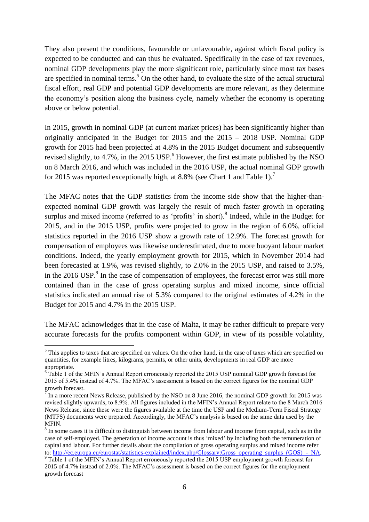They also present the conditions, favourable or unfavourable, against which fiscal policy is expected to be conducted and can thus be evaluated. Specifically in the case of tax revenues, nominal GDP developments play the more significant role, particularly since most tax bases are specified in nominal terms.<sup>5</sup> On the other hand, to evaluate the size of the actual structural fiscal effort, real GDP and potential GDP developments are more relevant, as they determine the economy's position along the business cycle, namely whether the economy is operating above or below potential.

In 2015, growth in nominal GDP (at current market prices) has been significantly higher than originally anticipated in the Budget for 2015 and the 2015 – 2018 USP. Nominal GDP growth for 2015 had been projected at 4.8% in the 2015 Budget document and subsequently revised slightly, to 4.7%, in the 2015 USP. $^{6}$  However, the first estimate published by the NSO on 8 March 2016, and which was included in the 2016 USP, the actual nominal GDP growth for 2015 was reported exceptionally high, at 8.8% (see Chart 1 and Table 1).<sup>7</sup>

The MFAC notes that the GDP statistics from the income side show that the higher-thanexpected nominal GDP growth was largely the result of much faster growth in operating surplus and mixed income (referred to as 'profits' in short).<sup>8</sup> Indeed, while in the Budget for 2015, and in the 2015 USP, profits were projected to grow in the region of 6.0%, official statistics reported in the 2016 USP show a growth rate of 12.9%. The forecast growth for compensation of employees was likewise underestimated, due to more buoyant labour market conditions. Indeed, the yearly employment growth for 2015, which in November 2014 had been forecasted at 1.9%, was revised slightly, to 2.0% in the 2015 USP, and raised to 3.5%, in the 2016 USP. $9$  In the case of compensation of employees, the forecast error was still more contained than in the case of gross operating surplus and mixed income, since official statistics indicated an annual rise of 5.3% compared to the original estimates of 4.2% in the Budget for 2015 and 4.7% in the 2015 USP.

The MFAC acknowledges that in the case of Malta, it may be rather difficult to prepare very accurate forecasts for the profits component within GDP, in view of its possible volatility,

<u>.</u>

 $<sup>5</sup>$  This applies to taxes that are specified on values. On the other hand, in the case of taxes which are specified on</sup> quantities, for example litres, kilograms, permits, or other units, developments in real GDP are more appropriate.

<sup>&</sup>lt;sup>6</sup> Table 1 of the MFIN's Annual Report erroneously reported the 2015 USP nominal GDP growth forecast for 2015 of 5.4% instead of 4.7%. The MFAC's assessment is based on the correct figures for the nominal GDP growth forecast.

In a more recent News Release, published by the NSO on 8 June 2016, the nominal GDP growth for 2015 was revised slightly upwards, to 8.9%. All figures included in the MFIN's Annual Report relate to the 8 March 2016 News Release, since these were the figures available at the time the USP and the Medium-Term Fiscal Strategy (MTFS) documents were prepared. Accordingly, the MFAC's analysis is based on the same data used by the MFIN.

 $8$  In some cases it is difficult to distinguish between income from labour and income from capital, such as in the case of self-employed. The generation of income account is thus 'mixed' by including both the remuneration of capital and labour. For further details about the compilation of gross operating surplus and mixed income refer to: http://ec.europa.eu/eurostat/statistics-explained/index.php/Glossary:Gross\_operating\_surplus\_(GOS)\_-\_NA. <sup>9</sup> Table 1 of the MFIN's Annual Report erroneously reported the 2015 USP employment growth forecast for

<sup>2015</sup> of 4.7% instead of 2.0%. The MFAC's assessment is based on the correct figures for the employment growth forecast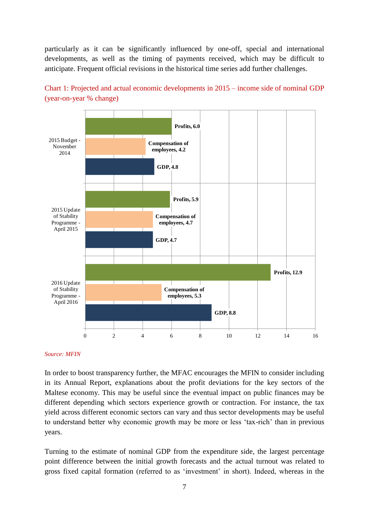particularly as it can be significantly influenced by one-off, special and international developments, as well as the timing of payments received, which may be difficult to anticipate. Frequent official revisions in the historical time series add further challenges.





#### *Source: MFIN*

In order to boost transparency further, the MFAC encourages the MFIN to consider including in its Annual Report, explanations about the profit deviations for the key sectors of the Maltese economy. This may be useful since the eventual impact on public finances may be different depending which sectors experience growth or contraction. For instance, the tax yield across different economic sectors can vary and thus sector developments may be useful to understand better why economic growth may be more or less 'tax-rich' than in previous years.

Turning to the estimate of nominal GDP from the expenditure side, the largest percentage point difference between the initial growth forecasts and the actual turnout was related to gross fixed capital formation (referred to as 'investment' in short). Indeed, whereas in the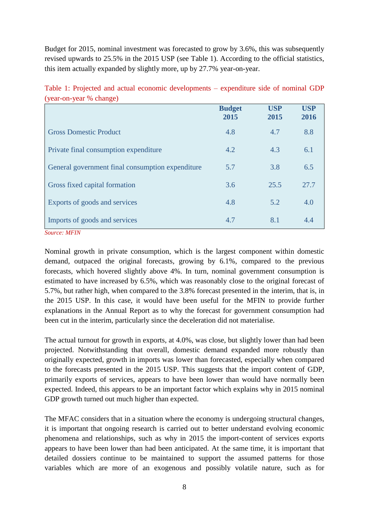Budget for 2015, nominal investment was forecasted to grow by 3.6%, this was subsequently revised upwards to 25.5% in the 2015 USP (see Table 1). According to the official statistics, this item actually expanded by slightly more, up by 27.7% year-on-year.

|                                                      | <b>Budget</b><br>2015 | <b>USP</b><br>2015 | <b>USP</b><br>2016 |
|------------------------------------------------------|-----------------------|--------------------|--------------------|
| <b>Gross Domestic Product</b>                        | 4.8                   | 4.7                | 8.8                |
| Private final consumption expenditure                | 4.2                   | 4.3                | 6.1                |
| General government final consumption expenditure     | 5.7                   | 3.8                | 6.5                |
| Gross fixed capital formation                        | 3.6                   | 25.5               | 27.7               |
| Exports of goods and services                        | 4.8                   | 5.2                | 4.0                |
| Imports of goods and services<br><b>Source: MFIN</b> | 4.7                   | 8.1                | 4.4                |

Table 1: Projected and actual economic developments – expenditure side of nominal GDP (year-on-year % change)

Nominal growth in private consumption, which is the largest component within domestic demand, outpaced the original forecasts, growing by 6.1%, compared to the previous forecasts, which hovered slightly above 4%. In turn, nominal government consumption is estimated to have increased by 6.5%, which was reasonably close to the original forecast of 5.7%, but rather high, when compared to the 3.8% forecast presented in the interim, that is, in the 2015 USP. In this case, it would have been useful for the MFIN to provide further explanations in the Annual Report as to why the forecast for government consumption had been cut in the interim, particularly since the deceleration did not materialise.

The actual turnout for growth in exports, at 4.0%, was close, but slightly lower than had been projected. Notwithstanding that overall, domestic demand expanded more robustly than originally expected, growth in imports was lower than forecasted, especially when compared to the forecasts presented in the 2015 USP. This suggests that the import content of GDP, primarily exports of services, appears to have been lower than would have normally been expected. Indeed, this appears to be an important factor which explains why in 2015 nominal GDP growth turned out much higher than expected.

The MFAC considers that in a situation where the economy is undergoing structural changes, it is important that ongoing research is carried out to better understand evolving economic phenomena and relationships, such as why in 2015 the import-content of services exports appears to have been lower than had been anticipated. At the same time, it is important that detailed dossiers continue to be maintained to support the assumed patterns for those variables which are more of an exogenous and possibly volatile nature, such as for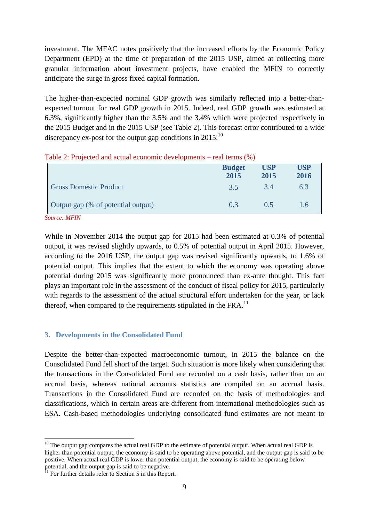investment. The MFAC notes positively that the increased efforts by the Economic Policy Department (EPD) at the time of preparation of the 2015 USP, aimed at collecting more granular information about investment projects, have enabled the MFIN to correctly anticipate the surge in gross fixed capital formation.

The higher-than-expected nominal GDP growth was similarly reflected into a better-thanexpected turnout for real GDP growth in 2015. Indeed, real GDP growth was estimated at 6.3%, significantly higher than the 3.5% and the 3.4% which were projected respectively in the 2015 Budget and in the 2015 USP (see Table 2). This forecast error contributed to a wide discrepancy ex-post for the output gap conditions in 2015.<sup>10</sup>

|                                    | <b>Budget</b><br>2015 | <b>USP</b><br>2015 | <b>USP</b><br>2016 |
|------------------------------------|-----------------------|--------------------|--------------------|
| <b>Gross Domestic Product</b>      | 3.5                   | 3.4                | 6.3                |
| Output gap (% of potential output) | 0.3                   | 0.5                | 1.6                |

|  |  | Table 2: Projected and actual economic developments – real terms (%) |
|--|--|----------------------------------------------------------------------|
|--|--|----------------------------------------------------------------------|

*Source: MFIN*

<u>.</u>

While in November 2014 the output gap for 2015 had been estimated at 0.3% of potential output, it was revised slightly upwards, to 0.5% of potential output in April 2015. However, according to the 2016 USP, the output gap was revised significantly upwards, to 1.6% of potential output. This implies that the extent to which the economy was operating above potential during 2015 was significantly more pronounced than ex-ante thought. This fact plays an important role in the assessment of the conduct of fiscal policy for 2015, particularly with regards to the assessment of the actual structural effort undertaken for the year, or lack thereof, when compared to the requirements stipulated in the FRA. $^{11}$ 

# **3. Developments in the Consolidated Fund**

Despite the better-than-expected macroeconomic turnout, in 2015 the balance on the Consolidated Fund fell short of the target. Such situation is more likely when considering that the transactions in the Consolidated Fund are recorded on a cash basis, rather than on an accrual basis, whereas national accounts statistics are compiled on an accrual basis. Transactions in the Consolidated Fund are recorded on the basis of methodologies and classifications, which in certain areas are different from international methodologies such as ESA. Cash-based methodologies underlying consolidated fund estimates are not meant to

 $10$  The output gap compares the actual real GDP to the estimate of potential output. When actual real GDP is higher than potential output, the economy is said to be operating above potential, and the output gap is said to be positive. When actual real GDP is lower than potential output, the economy is said to be operating below potential, and the output gap is said to be negative.

<sup>&</sup>lt;sup>11</sup> For further details refer to Section 5 in this Report.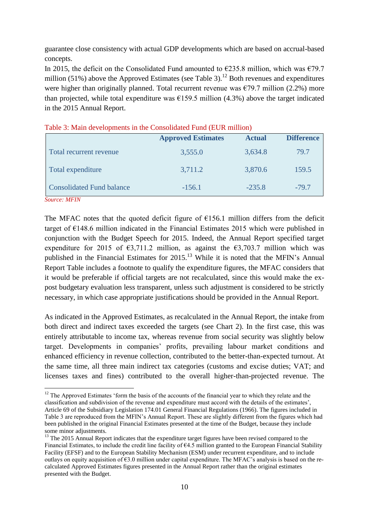guarantee close consistency with actual GDP developments which are based on accrual-based concepts.

In 2015, the deficit on the Consolidated Fund amounted to  $\epsilon$ 235.8 million, which was  $\epsilon$ 79.7 million (51%) above the Approved Estimates (see Table 3).<sup>12</sup> Both revenues and expenditures were higher than originally planned. Total recurrent revenue was  $\epsilon$ 79.7 million (2.2%) more than projected, while total expenditure was  $\epsilon$ 159.5 million (4.3%) above the target indicated in the 2015 Annual Report.

|                                  | <b>Approved Estimates</b> | <b>Actual</b> | <b>Difference</b> |
|----------------------------------|---------------------------|---------------|-------------------|
| Total recurrent revenue          | 3,555.0                   | 3,634.8       | 79.7              |
| Total expenditure                | 3,711.2                   | 3,870.6       | 159.5             |
| <b>Consolidated Fund balance</b> | $-156.1$                  | $-235.8$      | $-79.7$           |
| <b>Source: MFIN</b>              |                           |               |                   |

Table 3: Main developments in the Consolidated Fund (EUR million)

The MFAC notes that the quoted deficit figure of  $E156.1$  million differs from the deficit target of  $E148.6$  million indicated in the Financial Estimates 2015 which were published in

1

conjunction with the Budget Speech for 2015. Indeed, the Annual Report specified target expenditure for 2015 of  $\epsilon$ 3,711.2 million, as against the  $\epsilon$ 3,703.7 million which was published in the Financial Estimates for 2015.<sup>13</sup> While it is noted that the MFIN's Annual Report Table includes a footnote to qualify the expenditure figures, the MFAC considers that it would be preferable if official targets are not recalculated, since this would make the expost budgetary evaluation less transparent, unless such adjustment is considered to be strictly necessary, in which case appropriate justifications should be provided in the Annual Report.

As indicated in the Approved Estimates, as recalculated in the Annual Report, the intake from both direct and indirect taxes exceeded the targets (see Chart 2). In the first case, this was entirely attributable to income tax, whereas revenue from social security was slightly below target. Developments in companies' profits, prevailing labour market conditions and enhanced efficiency in revenue collection, contributed to the better-than-expected turnout. At the same time, all three main indirect tax categories (customs and excise duties; VAT; and licenses taxes and fines) contributed to the overall higher-than-projected revenue. The

 $12$  The Approved Estimates 'form the basis of the accounts of the financial year to which they relate and the classification and subdivision of the revenue and expenditure must accord with the details of the estimates', Article 69 of the Subsidiary Legislation 174.01 General Financial Regulations (1966). The figures included in Table 3 are reproduced from the MFIN's Annual Report. These are slightly different from the figures which had been published in the original Financial Estimates presented at the time of the Budget, because they include some minor adjustments.

<sup>&</sup>lt;sup>13</sup> The 2015 Annual Report indicates that the expenditure target figures have been revised compared to the Financial Estimates, to include the credit line facility of €4.5 million granted to the European Financial Stability Facility (EFSF) and to the European Stability Mechanism (ESM) under recurrent expenditure, and to include outlays on equity acquisition of  $\epsilon$ 3.0 million under capital expenditure. The MFAC's analysis is based on the recalculated Approved Estimates figures presented in the Annual Report rather than the original estimates presented with the Budget.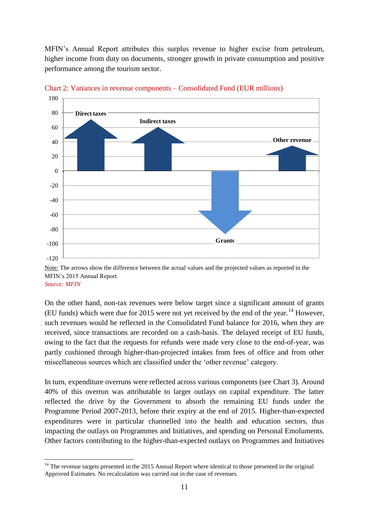MFIN's Annual Report attributes this surplus revenue to higher excise from petroleum, higher income from duty on documents, stronger growth in private consumption and positive performance among the tourism sector.



Chart 2: Variances in revenue components – Consolidated Fund (EUR millions)

On the other hand, non-tax revenues were below target since a significant amount of grants (EU funds) which were due for 2015 were not yet received by the end of the year.<sup>14</sup> However, such revenues would be reflected in the Consolidated Fund balance for 2016, when they are received, since transactions are recorded on a cash-basis. The delayed receipt of EU funds, owing to the fact that the requests for refunds were made very close to the end-of-year, was partly cushioned through higher-than-projected intakes from fees of office and from other miscellaneous sources which are classified under the 'other revenue' category.

In turn, expenditure overruns were reflected across various components (see Chart 3). Around 40% of this overrun was attributable to larger outlays on capital expenditure. The latter reflected the drive by the Government to absorb the remaining EU funds under the Programme Period 2007-2013, before their expiry at the end of 2015. Higher-than-expected expenditures were in particular channelled into the health and education sectors, thus impacting the outlays on Programmes and Initiatives, and spending on Personal Emoluments. Other factors contributing to the higher-than-expected outlays on Programmes and Initiatives

1

Note: The arrows show the difference between the actual values and the projected values as reported in the MFIN's 2015 Annual Report. *Source: MFIN*

 $14$  The revenue targets presented in the 2015 Annual Report where identical to those presented in the original Approved Estimates. No recalculation was carried out in the case of revenues.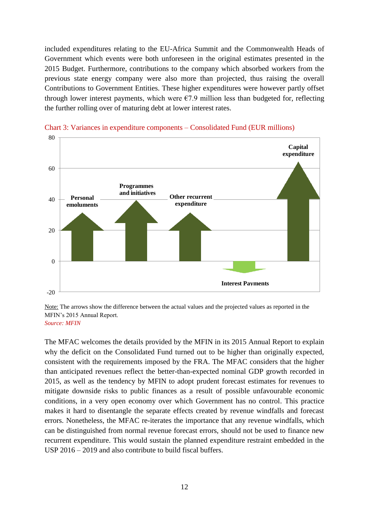included expenditures relating to the EU-Africa Summit and the Commonwealth Heads of Government which events were both unforeseen in the original estimates presented in the 2015 Budget. Furthermore, contributions to the company which absorbed workers from the previous state energy company were also more than projected, thus raising the overall Contributions to Government Entities. These higher expenditures were however partly offset through lower interest payments, which were  $\epsilon$ 7.9 million less than budgeted for, reflecting the further rolling over of maturing debt at lower interest rates.



Chart 3: Variances in expenditure components – Consolidated Fund (EUR millions)

Note: The arrows show the difference between the actual values and the projected values as reported in the MFIN's 2015 Annual Report. *Source: MFIN*

The MFAC welcomes the details provided by the MFIN in its 2015 Annual Report to explain why the deficit on the Consolidated Fund turned out to be higher than originally expected, consistent with the requirements imposed by the FRA. The MFAC considers that the higher than anticipated revenues reflect the better-than-expected nominal GDP growth recorded in 2015, as well as the tendency by MFIN to adopt prudent forecast estimates for revenues to mitigate downside risks to public finances as a result of possible unfavourable economic conditions, in a very open economy over which Government has no control. This practice makes it hard to disentangle the separate effects created by revenue windfalls and forecast errors. Nonetheless, the MFAC re-iterates the importance that any revenue windfalls, which can be distinguished from normal revenue forecast errors, should not be used to finance new recurrent expenditure. This would sustain the planned expenditure restraint embedded in the USP 2016 – 2019 and also contribute to build fiscal buffers.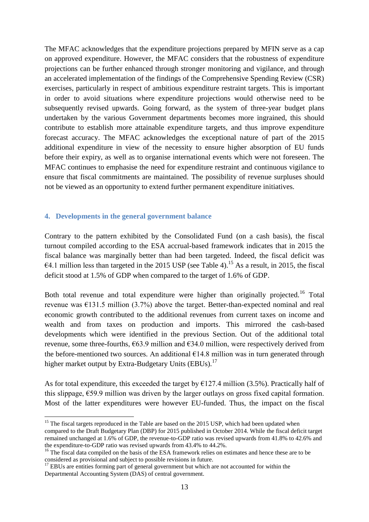The MFAC acknowledges that the expenditure projections prepared by MFIN serve as a cap on approved expenditure. However, the MFAC considers that the robustness of expenditure projections can be further enhanced through stronger monitoring and vigilance, and through an accelerated implementation of the findings of the Comprehensive Spending Review (CSR) exercises, particularly in respect of ambitious expenditure restraint targets. This is important in order to avoid situations where expenditure projections would otherwise need to be subsequently revised upwards. Going forward, as the system of three-year budget plans undertaken by the various Government departments becomes more ingrained, this should contribute to establish more attainable expenditure targets, and thus improve expenditure forecast accuracy. The MFAC acknowledges the exceptional nature of part of the 2015 additional expenditure in view of the necessity to ensure higher absorption of EU funds before their expiry, as well as to organise international events which were not foreseen. The MFAC continues to emphasise the need for expenditure restraint and continuous vigilance to ensure that fiscal commitments are maintained. The possibility of revenue surpluses should not be viewed as an opportunity to extend further permanent expenditure initiatives.

## **4. Developments in the general government balance**

1

Contrary to the pattern exhibited by the Consolidated Fund (on a cash basis), the fiscal turnout compiled according to the ESA accrual-based framework indicates that in 2015 the fiscal balance was marginally better than had been targeted. Indeed, the fiscal deficit was €4.1 million less than targeted in the 2015 USP (see Table 4).<sup>15</sup> As a result, in 2015, the fiscal deficit stood at 1.5% of GDP when compared to the target of 1.6% of GDP.

Both total revenue and total expenditure were higher than originally projected.<sup>16</sup> Total revenue was  $\epsilon$ 131.5 million (3.7%) above the target. Better-than-expected nominal and real economic growth contributed to the additional revenues from current taxes on income and wealth and from taxes on production and imports. This mirrored the cash-based developments which were identified in the previous Section. Out of the additional total revenue, some three-fourths,  $663.9$  million and  $634.0$  million, were respectively derived from the before-mentioned two sources. An additional  $E14.8$  million was in turn generated through higher market output by Extra-Budgetary Units (EBUs).<sup>17</sup>

As for total expenditure, this exceeded the target by  $\epsilon$ 127.4 million (3.5%). Practically half of this slippage,  $\epsilon$ 59.9 million was driven by the larger outlays on gross fixed capital formation. Most of the latter expenditures were however EU-funded. Thus, the impact on the fiscal

<sup>&</sup>lt;sup>15</sup> The fiscal targets reproduced in the Table are based on the 2015 USP, which had been updated when compared to the Draft Budgetary Plan (DBP) for 2015 published in October 2014. While the fiscal deficit target remained unchanged at 1.6% of GDP, the revenue-to-GDP ratio was revised upwards from 41.8% to 42.6% and the expenditure-to-GDP ratio was revised upwards from 43.4% to 44.2%.

<sup>&</sup>lt;sup>16</sup> The fiscal data compiled on the basis of the ESA framework relies on estimates and hence these are to be considered as provisional and subject to possible revisions in future.

<sup>&</sup>lt;sup>17</sup> EBUs are entities forming part of general government but which are not accounted for within the Departmental Accounting System (DAS) of central government.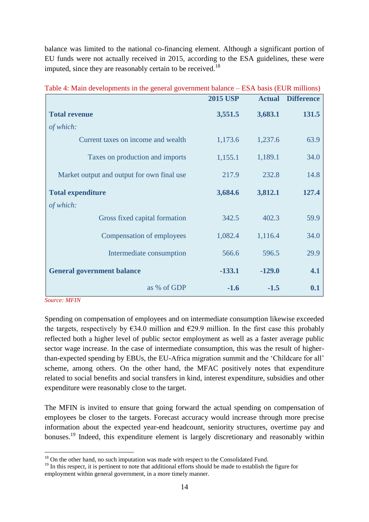balance was limited to the national co-financing element. Although a significant portion of EU funds were not actually received in 2015, according to the ESA guidelines, these were imputed, since they are reasonably certain to be received.<sup>18</sup>

|                                            | <b>2015 USP</b> | <b>Actual</b> | <b>Difference</b> |
|--------------------------------------------|-----------------|---------------|-------------------|
| <b>Total revenue</b>                       | 3,551.5         | 3,683.1       | 131.5             |
| of which:                                  |                 |               |                   |
| Current taxes on income and wealth         | 1,173.6         | 1,237.6       | 63.9              |
| Taxes on production and imports            | 1,155.1         | 1,189.1       | 34.0              |
| Market output and output for own final use | 217.9           | 232.8         | 14.8              |
| <b>Total expenditure</b>                   | 3,684.6         | 3,812.1       | 127.4             |
| of which:                                  |                 |               |                   |
| Gross fixed capital formation              | 342.5           | 402.3         | 59.9              |
| Compensation of employees                  | 1,082.4         | 1,116.4       | 34.0              |
| Intermediate consumption                   | 566.6           | 596.5         | 29.9              |
| <b>General government balance</b>          | $-133.1$        | $-129.0$      | 4.1               |
| as % of GDP                                | $-1.6$          | $-1.5$        | 0.1               |

Table 4: Main developments in the general government balance – ESA basis (EUR millions)

*Source: MFIN*

Spending on compensation of employees and on intermediate consumption likewise exceeded the targets, respectively by  $\epsilon$ 34.0 million and  $\epsilon$ 29.9 million. In the first case this probably reflected both a higher level of public sector employment as well as a faster average public sector wage increase. In the case of intermediate consumption, this was the result of higherthan-expected spending by EBUs, the EU-Africa migration summit and the 'Childcare for all' scheme, among others. On the other hand, the MFAC positively notes that expenditure related to social benefits and social transfers in kind, interest expenditure, subsidies and other expenditure were reasonably close to the target.

The MFIN is invited to ensure that going forward the actual spending on compensation of employees be closer to the targets. Forecast accuracy would increase through more precise information about the expected year-end headcount, seniority structures, overtime pay and bonuses.<sup>19</sup> Indeed, this expenditure element is largely discretionary and reasonably within

<sup>&</sup>lt;u>.</u>  $18$  On the other hand, no such imputation was made with respect to the Consolidated Fund.

<sup>&</sup>lt;sup>19</sup> In this respect, it is pertinent to note that additional efforts should be made to establish the figure for employment within general government, in a more timely manner.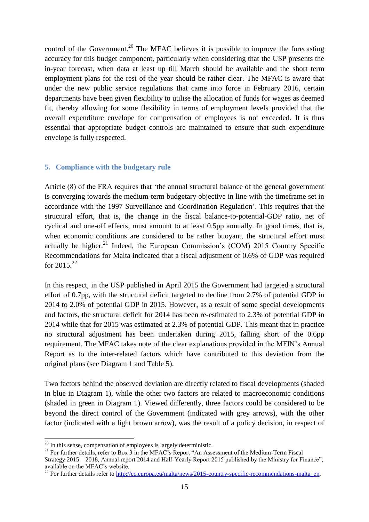control of the Government.<sup>20</sup> The MFAC believes it is possible to improve the forecasting accuracy for this budget component, particularly when considering that the USP presents the in-year forecast, when data at least up till March should be available and the short term employment plans for the rest of the year should be rather clear. The MFAC is aware that under the new public service regulations that came into force in February 2016, certain departments have been given flexibility to utilise the allocation of funds for wages as deemed fit, thereby allowing for some flexibility in terms of employment levels provided that the overall expenditure envelope for compensation of employees is not exceeded. It is thus essential that appropriate budget controls are maintained to ensure that such expenditure envelope is fully respected.

# **5. Compliance with the budgetary rule**

Article (8) of the FRA requires that 'the annual structural balance of the general government is converging towards the medium-term budgetary objective in line with the timeframe set in accordance with the 1997 Surveillance and Coordination Regulation'. This requires that the structural effort, that is, the change in the fiscal balance-to-potential-GDP ratio, net of cyclical and one-off effects, must amount to at least 0.5pp annually. In good times, that is, when economic conditions are considered to be rather buoyant, the structural effort must actually be higher.<sup>21</sup> Indeed, the European Commission's (COM) 2015 Country Specific Recommendations for Malta indicated that a fiscal adjustment of 0.6% of GDP was required for  $2015^{22}$ 

In this respect, in the USP published in April 2015 the Government had targeted a structural effort of 0.7pp, with the structural deficit targeted to decline from 2.7% of potential GDP in 2014 to 2.0% of potential GDP in 2015. However, as a result of some special developments and factors, the structural deficit for 2014 has been re-estimated to 2.3% of potential GDP in 2014 while that for 2015 was estimated at 2.3% of potential GDP. This meant that in practice no structural adjustment has been undertaken during 2015, falling short of the 0.6pp requirement. The MFAC takes note of the clear explanations provided in the MFIN's Annual Report as to the inter-related factors which have contributed to this deviation from the original plans (see Diagram 1 and Table 5).

Two factors behind the observed deviation are directly related to fiscal developments (shaded in blue in Diagram 1), while the other two factors are related to macroeconomic conditions (shaded in green in Diagram 1). Viewed differently, three factors could be considered to be beyond the direct control of the Government (indicated with grey arrows), with the other factor (indicated with a light brown arrow), was the result of a policy decision, in respect of

<u>.</u>

 $20$  In this sense, compensation of employees is largely deterministic.

<sup>&</sup>lt;sup>21</sup> For further details, refer to Box 3 in the MFAC's Report "An Assessment of the Medium-Term Fiscal

Strategy 2015 – 2018, Annual report 2014 and Half-Yearly Report 2015 published by the Ministry for Finance", available on the MFAC's website.

<sup>&</sup>lt;sup>22</sup> For further details refer to [http://ec.europa.eu/malta/news/2015-country-specific-recommendations-malta\\_en.](http://ec.europa.eu/malta/news/2015-country-specific-recommendations-malta_en)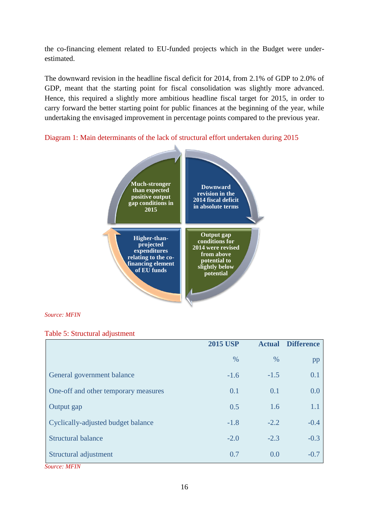the co-financing element related to EU-funded projects which in the Budget were underestimated.

The downward revision in the headline fiscal deficit for 2014, from 2.1% of GDP to 2.0% of GDP, meant that the starting point for fiscal consolidation was slightly more advanced. Hence, this required a slightly more ambitious headline fiscal target for 2015, in order to carry forward the better starting point for public finances at the beginning of the year, while undertaking the envisaged improvement in percentage points compared to the previous year.



Diagram 1: Main determinants of the lack of structural effort undertaken during 2015

*Source: MFIN*

# Table 5: Structural adjustment

|                                                 | <b>2015 USP</b> | <b>Actual</b> | <b>Difference</b> |
|-------------------------------------------------|-----------------|---------------|-------------------|
|                                                 | $\%$            | $\%$          | pp                |
| General government balance                      | $-1.6$          | $-1.5$        | 0.1               |
| One-off and other temporary measures            | 0.1             | 0.1           | 0.0               |
| Output gap                                      | 0.5             | 1.6           | 1.1               |
| Cyclically-adjusted budget balance              | $-1.8$          | $-2.2$        | $-0.4$            |
| <b>Structural balance</b>                       | $-2.0$          | $-2.3$        | $-0.3$            |
| Structural adjustment<br>$\sim$<br>$\mathbf{X}$ | 0.7             | 0.0           | $-0.7$            |

*Source: MFIN*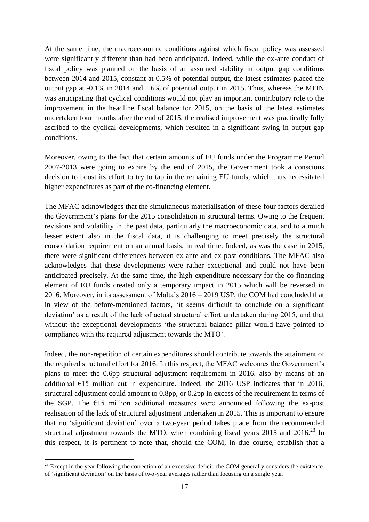At the same time, the macroeconomic conditions against which fiscal policy was assessed were significantly different than had been anticipated. Indeed, while the ex-ante conduct of fiscal policy was planned on the basis of an assumed stability in output gap conditions between 2014 and 2015, constant at 0.5% of potential output, the latest estimates placed the output gap at -0.1% in 2014 and 1.6% of potential output in 2015. Thus, whereas the MFIN was anticipating that cyclical conditions would not play an important contributory role to the improvement in the headline fiscal balance for 2015, on the basis of the latest estimates undertaken four months after the end of 2015, the realised improvement was practically fully ascribed to the cyclical developments, which resulted in a significant swing in output gap conditions.

Moreover, owing to the fact that certain amounts of EU funds under the Programme Period 2007-2013 were going to expire by the end of 2015, the Government took a conscious decision to boost its effort to try to tap in the remaining EU funds, which thus necessitated higher expenditures as part of the co-financing element.

The MFAC acknowledges that the simultaneous materialisation of these four factors derailed the Government's plans for the 2015 consolidation in structural terms. Owing to the frequent revisions and volatility in the past data, particularly the macroeconomic data, and to a much lesser extent also in the fiscal data, it is challenging to meet precisely the structural consolidation requirement on an annual basis, in real time. Indeed, as was the case in 2015, there were significant differences between ex-ante and ex-post conditions. The MFAC also acknowledges that these developments were rather exceptional and could not have been anticipated precisely. At the same time, the high expenditure necessary for the co-financing element of EU funds created only a temporary impact in 2015 which will be reversed in 2016. Moreover, in its assessment of Malta's 2016 – 2019 USP, the COM had concluded that in view of the before-mentioned factors, 'it seems difficult to conclude on a significant deviation' as a result of the lack of actual structural effort undertaken during 2015, and that without the exceptional developments 'the structural balance pillar would have pointed to compliance with the required adjustment towards the MTO'.

Indeed, the non-repetition of certain expenditures should contribute towards the attainment of the required structural effort for 2016. In this respect, the MFAC welcomes the Government's plans to meet the 0.6pp structural adjustment requirement in 2016, also by means of an additional  $E15$  million cut in expenditure. Indeed, the 2016 USP indicates that in 2016, structural adjustment could amount to 0.8pp, or 0.2pp in excess of the requirement in terms of the SGP. The  $E15$  million additional measures were announced following the ex-post realisation of the lack of structural adjustment undertaken in 2015. This is important to ensure that no 'significant deviation' over a two-year period takes place from the recommended structural adjustment towards the MTO, when combining fiscal years  $2015$  and  $2016$ <sup>23</sup> In this respect, it is pertinent to note that, should the COM, in due course, establish that a

1

 $^{23}$  Except in the year following the correction of an excessive deficit, the COM generally considers the existence of 'significant deviation' on the basis of two-year averages rather than focusing on a single year.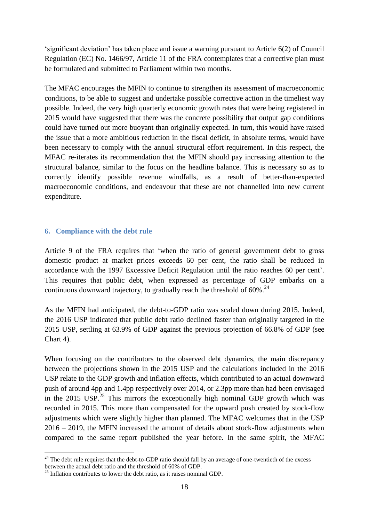'significant deviation' has taken place and issue a warning pursuant to Article 6(2) of Council Regulation (EC) No. 1466/97, Article 11 of the FRA contemplates that a corrective plan must be formulated and submitted to Parliament within two months.

The MFAC encourages the MFIN to continue to strengthen its assessment of macroeconomic conditions, to be able to suggest and undertake possible corrective action in the timeliest way possible. Indeed, the very high quarterly economic growth rates that were being registered in 2015 would have suggested that there was the concrete possibility that output gap conditions could have turned out more buoyant than originally expected. In turn, this would have raised the issue that a more ambitious reduction in the fiscal deficit, in absolute terms, would have been necessary to comply with the annual structural effort requirement. In this respect, the MFAC re-iterates its recommendation that the MFIN should pay increasing attention to the structural balance, similar to the focus on the headline balance. This is necessary so as to correctly identify possible revenue windfalls, as a result of better-than-expected macroeconomic conditions, and endeavour that these are not channelled into new current expenditure.

# **6. Compliance with the debt rule**

Article 9 of the FRA requires that 'when the ratio of general government debt to gross domestic product at market prices exceeds 60 per cent, the ratio shall be reduced in accordance with the 1997 Excessive Deficit Regulation until the ratio reaches 60 per cent'. This requires that public debt, when expressed as percentage of GDP embarks on a continuous downward trajectory, to gradually reach the threshold of  $60\%$ <sup>24</sup>

As the MFIN had anticipated, the debt-to-GDP ratio was scaled down during 2015. Indeed, the 2016 USP indicated that public debt ratio declined faster than originally targeted in the 2015 USP, settling at 63.9% of GDP against the previous projection of 66.8% of GDP (see Chart 4).

When focusing on the contributors to the observed debt dynamics, the main discrepancy between the projections shown in the 2015 USP and the calculations included in the 2016 USP relate to the GDP growth and inflation effects, which contributed to an actual downward push of around 4pp and 1.4pp respectively over 2014, or 2.3pp more than had been envisaged in the 2015 USP.<sup>25</sup> This mirrors the exceptionally high nominal GDP growth which was recorded in 2015. This more than compensated for the upward push created by stock-flow adjustments which were slightly higher than planned. The MFAC welcomes that in the USP 2016 – 2019, the MFIN increased the amount of details about stock-flow adjustments when compared to the same report published the year before. In the same spirit, the MFAC

<u>.</u>

<sup>&</sup>lt;sup>24</sup> The debt rule requires that the debt-to-GDP ratio should fall by an average of one-twentieth of the excess between the actual debt ratio and the threshold of 60% of GDP.

 $25$  Inflation contributes to lower the debt ratio, as it raises nominal GDP.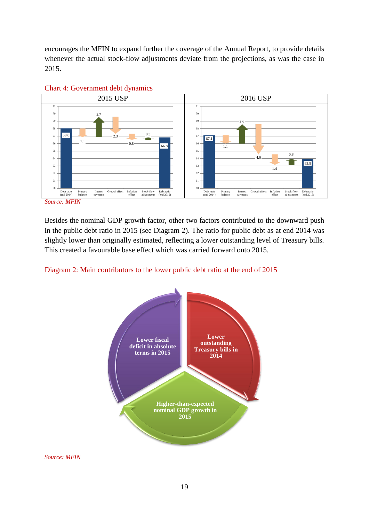encourages the MFIN to expand further the coverage of the Annual Report, to provide details whenever the actual stock-flow adjustments deviate from the projections, as was the case in 2015.





*Source: MFIN*

Besides the nominal GDP growth factor, other two factors contributed to the downward push in the public debt ratio in 2015 (see Diagram 2). The ratio for public debt as at end 2014 was slightly lower than originally estimated, reflecting a lower outstanding level of Treasury bills. This created a favourable base effect which was carried forward onto 2015.





*Source: MFIN*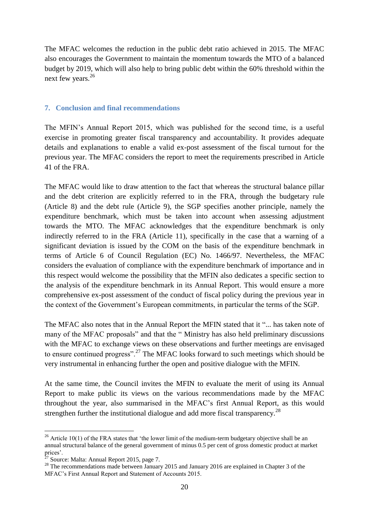The MFAC welcomes the reduction in the public debt ratio achieved in 2015. The MFAC also encourages the Government to maintain the momentum towards the MTO of a balanced budget by 2019, which will also help to bring public debt within the 60% threshold within the next few years.<sup>26</sup>

## **7. Conclusion and final recommendations**

The MFIN's Annual Report 2015, which was published for the second time, is a useful exercise in promoting greater fiscal transparency and accountability. It provides adequate details and explanations to enable a valid ex-post assessment of the fiscal turnout for the previous year. The MFAC considers the report to meet the requirements prescribed in Article 41 of the FRA.

The MFAC would like to draw attention to the fact that whereas the structural balance pillar and the debt criterion are explicitly referred to in the FRA, through the budgetary rule (Article 8) and the debt rule (Article 9), the SGP specifies another principle, namely the expenditure benchmark, which must be taken into account when assessing adjustment towards the MTO. The MFAC acknowledges that the expenditure benchmark is only indirectly referred to in the FRA (Article 11), specifically in the case that a warning of a significant deviation is issued by the COM on the basis of the expenditure benchmark in terms of Article 6 of Council Regulation (EC) No. 1466/97. Nevertheless, the MFAC considers the evaluation of compliance with the expenditure benchmark of importance and in this respect would welcome the possibility that the MFIN also dedicates a specific section to the analysis of the expenditure benchmark in its Annual Report. This would ensure a more comprehensive ex-post assessment of the conduct of fiscal policy during the previous year in the context of the Government's European commitments, in particular the terms of the SGP.

The MFAC also notes that in the Annual Report the MFIN stated that it "... has taken note of many of the MFAC proposals" and that the " Ministry has also held preliminary discussions with the MFAC to exchange views on these observations and further meetings are envisaged to ensure continued progress".<sup>27</sup> The MFAC looks forward to such meetings which should be very instrumental in enhancing further the open and positive dialogue with the MFIN.

At the same time, the Council invites the MFIN to evaluate the merit of using its Annual Report to make public its views on the various recommendations made by the MFAC throughout the year, also summarised in the MFAC's first Annual Report, as this would strengthen further the institutional dialogue and add more fiscal transparency.<sup>28</sup>

1

<sup>&</sup>lt;sup>26</sup> Article 10(1) of the FRA states that 'the lower limit of the medium-term budgetary objective shall be an annual structural balance of the general government of minus 0.5 per cent of gross domestic product at market prices'.

<sup>27</sup> Source: Malta: Annual Report 2015, page 7.

<sup>&</sup>lt;sup>28</sup> The recommendations made between January 2015 and January 2016 are explained in Chapter 3 of the MFAC's First Annual Report and Statement of Accounts 2015.